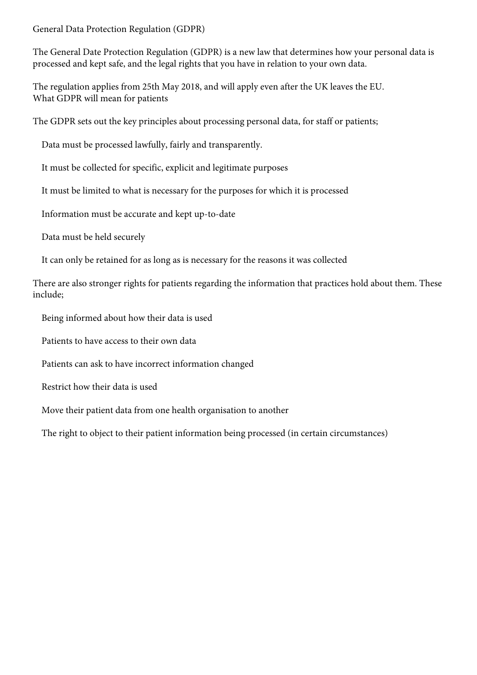General Data Protection Regulation (GDPR)

The General Date Protection Regulation (GDPR) is a new law that determines how your personal data is processed and kept safe, and the legal rights that you have in relation to your own data.

The regulation applies from 25th May 2018, and will apply even after the UK leaves the EU. What GDPR will mean for patients

The GDPR sets out the key principles about processing personal data, for staff or patients;

Data must be processed lawfully, fairly and transparently.

It must be collected for specific, explicit and legitimate purposes

It must be limited to what is necessary for the purposes for which it is processed

Information must be accurate and kept up-to-date

Data must be held securely

It can only be retained for as long as is necessary for the reasons it was collected

There are also stronger rights for patients regarding the information that practices hold about them. These include;

Being informed about how their data is used

Patients to have access to their own data

Patients can ask to have incorrect information changed

Restrict how their data is used

Move their patient data from one health organisation to another

The right to object to their patient information being processed (in certain circumstances)